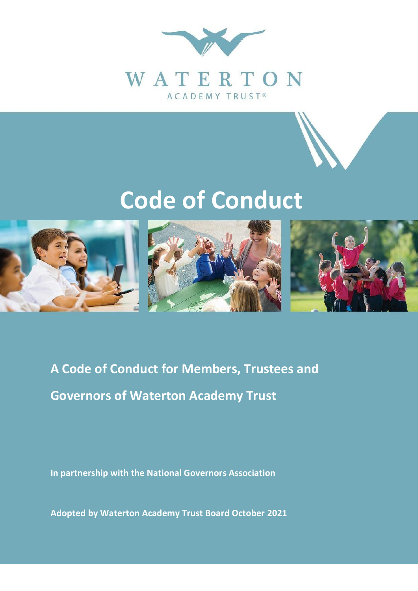

# **Code of Conduct**



**A Code of Conduct for Members, Trustees and Governors of Waterton Academy Trust**

**In partnership with the National Governors Association**

**Adopted by Waterton Academy Trust Board October 2021**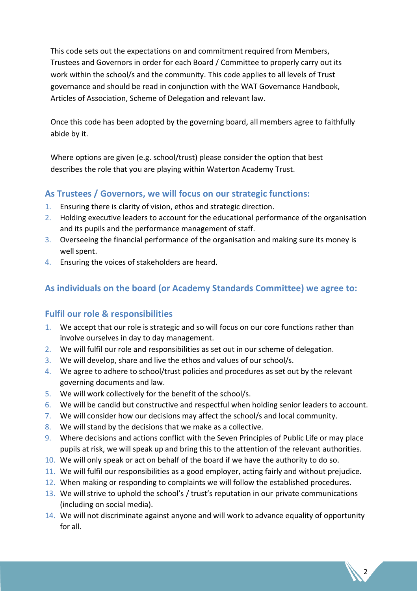This code sets out the expectations on and commitment required from Members, Trustees and Governors in order for each Board / Committee to properly carry out its work within the school/s and the community. This code applies to all levels of Trust governance and should be read in conjunction with the WAT Governance Handbook, Articles of Association, Scheme of Delegation and relevant law.

Once this code has been adopted by the governing board, all members agree to faithfully abide by it.

Where options are given (e.g. school/trust) please consider the option that best describes the role that you are playing within Waterton Academy Trust.

#### **As Trustees / Governors, we will focus on our strategic functions:**

- 1. Ensuring there is clarity of vision, ethos and strategic direction.
- 2. Holding executive leaders to account for the educational performance of the organisation and its pupils and the performance management of staff.
- 3. Overseeing the financial performance of the organisation and making sure its money is well spent.
- 4. Ensuring the voices of stakeholders are heard.

# **As individuals on the board (or Academy Standards Committee) we agree to:**

# **Fulfil our role & responsibilities**

- 1. We accept that our role is strategic and so will focus on our core functions rather than involve ourselves in day to day management.
- 2. We will fulfil our role and responsibilities as set out in our scheme of delegation.
- 3. We will develop, share and live the ethos and values of our school/s.
- 4. We agree to adhere to school/trust policies and procedures as set out by the relevant governing documents and law.
- 5. We will work collectively for the benefit of the school/s.
- 6. We will be candid but constructive and respectful when holding senior leaders to account.
- 7. We will consider how our decisions may affect the school/s and local community.
- 8. We will stand by the decisions that we make as a collective.
- 9. Where decisions and actions conflict with the Seven Principles of Public Life or may place pupils at risk, we will speak up and bring this to the attention of the relevant authorities.
- 10. We will only speak or act on behalf of the board if we have the authority to do so.
- 11. We will fulfil our responsibilities as a good employer, acting fairly and without prejudice.
- 12. When making or responding to complaints we will follow the established procedures.
- 13. We will strive to uphold the school's / trust's reputation in our private communications (including on social media).
- 14. We will not discriminate against anyone and will work to advance equality of opportunity for all.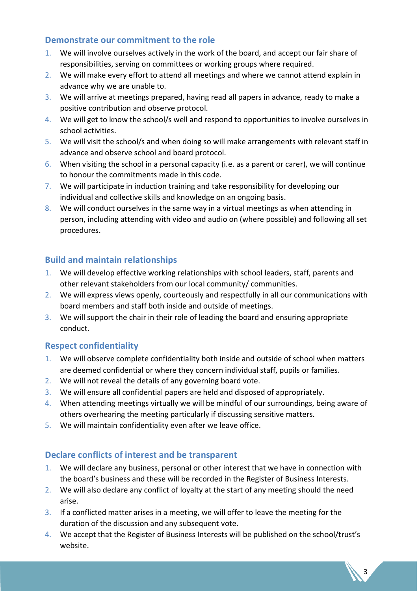#### **Demonstrate our commitment to the role**

- 1. We will involve ourselves actively in the work of the board, and accept our fair share of responsibilities, serving on committees or working groups where required.
- 2. We will make every effort to attend all meetings and where we cannot attend explain in advance why we are unable to.
- 3. We will arrive at meetings prepared, having read all papers in advance, ready to make a positive contribution and observe protocol.
- 4. We will get to know the school/s well and respond to opportunities to involve ourselves in school activities.
- 5. We will visit the school/s and when doing so will make arrangements with relevant staff in advance and observe school and board protocol.
- 6. When visiting the school in a personal capacity (i.e. as a parent or carer), we will continue to honour the commitments made in this code.
- 7. We will participate in induction training and take responsibility for developing our individual and collective skills and knowledge on an ongoing basis.
- 8. We will conduct ourselves in the same way in a virtual meetings as when attending in person, including attending with video and audio on (where possible) and following all set procedures.

### **Build and maintain relationships**

- 1. We will develop effective working relationships with school leaders, staff, parents and other relevant stakeholders from our local community/ communities.
- 2. We will express views openly, courteously and respectfully in all our communications with board members and staff both inside and outside of meetings.
- 3. We will support the chair in their role of leading the board and ensuring appropriate conduct.

#### **Respect confidentiality**

- 1. We will observe complete confidentiality both inside and outside of school when matters are deemed confidential or where they concern individual staff, pupils or families.
- 2. We will not reveal the details of any governing board vote.
- 3. We will ensure all confidential papers are held and disposed of appropriately.
- 4. When attending meetings virtually we will be mindful of our surroundings, being aware of others overhearing the meeting particularly if discussing sensitive matters.
- 5. We will maintain confidentiality even after we leave office.

# **Declare conflicts of interest and be transparent**

- 1. We will declare any business, personal or other interest that we have in connection with the board's business and these will be recorded in the Register of Business Interests.
- 2. We will also declare any conflict of loyalty at the start of any meeting should the need arise.
- 3. If a conflicted matter arises in a meeting, we will offer to leave the meeting for the duration of the discussion and any subsequent vote.
- 4. We accept that the Register of Business Interests will be published on the school/trust's website.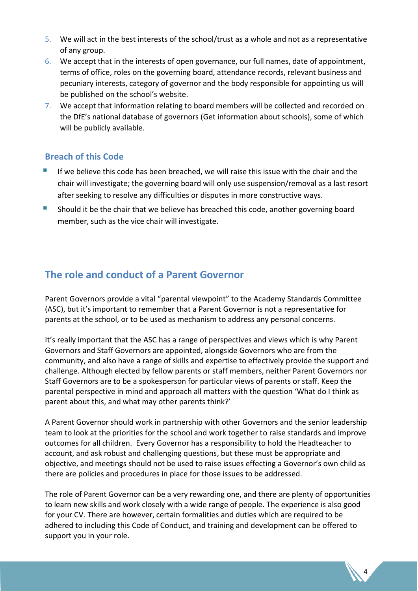- 5. We will act in the best interests of the school/trust as a whole and not as a representative of any group.
- 6. We accept that in the interests of open governance, our full names, date of appointment, terms of office, roles on the governing board, attendance records, relevant business and pecuniary interests, category of governor and the body responsible for appointing us will be published on the school's website.
- 7. We accept that information relating to board members will be collected and recorded on the DfE's national database of governors (Get information about schools), some of which will be publicly available.

#### **Breach of this Code**

- If we believe this code has been breached, we will raise this issue with the chair and the chair will investigate; the governing board will only use suspension/removal as a last resort after seeking to resolve any difficulties or disputes in more constructive ways.
- Should it be the chair that we believe has breached this code, another governing board member, such as the vice chair will investigate.

# **The role and conduct of a Parent Governor**

Parent Governors provide a vital "parental viewpoint" to the Academy Standards Committee (ASC), but it's important to remember that a Parent Governor is not a representative for parents at the school, or to be used as mechanism to address any personal concerns.

It's really important that the ASC has a range of perspectives and views which is why Parent Governors and Staff Governors are appointed, alongside Governors who are from the community, and also have a range of skills and expertise to effectively provide the support and challenge. Although elected by fellow parents or staff members, neither Parent Governors nor Staff Governors are to be a spokesperson for particular views of parents or staff. Keep the parental perspective in mind and approach all matters with the question 'What do I think as parent about this, and what may other parents think?'

A Parent Governor should work in partnership with other Governors and the senior leadership team to look at the priorities for the school and work together to raise standards and improve outcomes for all children. Every Governor has a responsibility to hold the Headteacher to account, and ask robust and challenging questions, but these must be appropriate and objective, and meetings should not be used to raise issues effecting a Governor's own child as there are policies and procedures in place for those issues to be addressed.

The role of Parent Governor can be a very rewarding one, and there are plenty of opportunities to learn new skills and work closely with a wide range of people. The experience is also good for your CV. There are however, certain formalities and duties which are required to be adhered to including this Code of Conduct, and training and development can be offered to support you in your role.